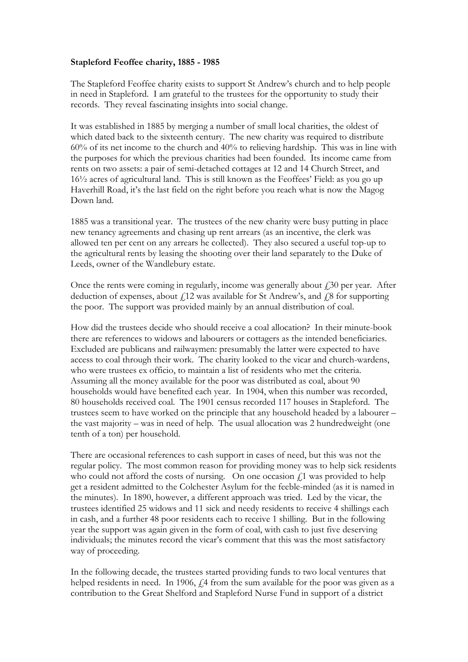## **Stapleford Feoffee charity, 1885 - 1985**

The Stapleford Feoffee charity exists to support St Andrew's church and to help people in need in Stapleford. I am grateful to the trustees for the opportunity to study their records. They reveal fascinating insights into social change.

It was established in 1885 by merging a number of small local charities, the oldest of which dated back to the sixteenth century. The new charity was required to distribute 60% of its net income to the church and 40% to relieving hardship. This was in line with the purposes for which the previous charities had been founded. Its income came from rents on two assets: a pair of semi-detached cottages at 12 and 14 Church Street, and 16½ acres of agricultural land. This is still known as the Feoffees' Field: as you go up Haverhill Road, it's the last field on the right before you reach what is now the Magog Down land.

1885 was a transitional year. The trustees of the new charity were busy putting in place new tenancy agreements and chasing up rent arrears (as an incentive, the clerk was allowed ten per cent on any arrears he collected). They also secured a useful top-up to the agricultural rents by leasing the shooting over their land separately to the Duke of Leeds, owner of the Wandlebury estate.

Once the rents were coming in regularly, income was generally about  $\text{\emph{f}}30$  per year. After deduction of expenses, about  $f<sub>i</sub>12$  was available for St Andrew's, and  $f<sub>i</sub>8$  for supporting the poor. The support was provided mainly by an annual distribution of coal.

How did the trustees decide who should receive a coal allocation? In their minute-book there are references to widows and labourers or cottagers as the intended beneficiaries. Excluded are publicans and railwaymen: presumably the latter were expected to have access to coal through their work. The charity looked to the vicar and church-wardens, who were trustees ex officio, to maintain a list of residents who met the criteria. Assuming all the money available for the poor was distributed as coal, about 90 households would have benefited each year. In 1904, when this number was recorded, 80 households received coal. The 1901 census recorded 117 houses in Stapleford. The trustees seem to have worked on the principle that any household headed by a labourer – the vast majority – was in need of help. The usual allocation was 2 hundredweight (one tenth of a ton) per household.

There are occasional references to cash support in cases of need, but this was not the regular policy. The most common reason for providing money was to help sick residents who could not afford the costs of nursing. On one occasion  $f<sub>i</sub>1$  was provided to help get a resident admitted to the Colchester Asylum for the feeble-minded (as it is named in the minutes). In 1890, however, a different approach was tried. Led by the vicar, the trustees identified 25 widows and 11 sick and needy residents to receive 4 shillings each in cash, and a further 48 poor residents each to receive 1 shilling. But in the following year the support was again given in the form of coal, with cash to just five deserving individuals; the minutes record the vicar's comment that this was the most satisfactory way of proceeding.

In the following decade, the trustees started providing funds to two local ventures that helped residents in need. In 1906,  $f$ , 4 from the sum available for the poor was given as a contribution to the Great Shelford and Stapleford Nurse Fund in support of a district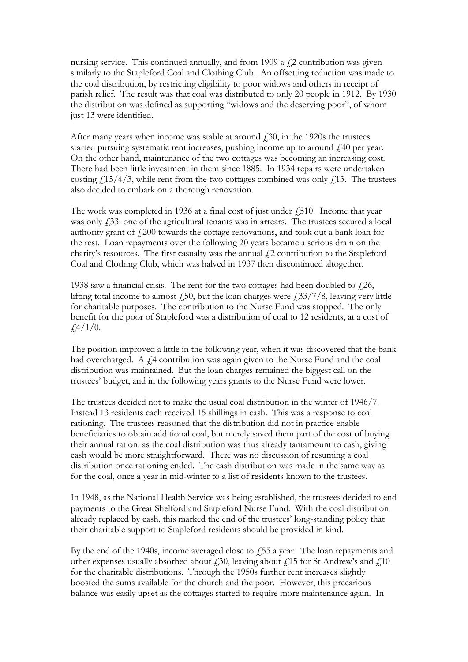nursing service. This continued annually, and from 1909 a  $\zeta$ 2 contribution was given similarly to the Stapleford Coal and Clothing Club. An offsetting reduction was made to the coal distribution, by restricting eligibility to poor widows and others in receipt of parish relief. The result was that coal was distributed to only 20 people in 1912. By 1930 the distribution was defined as supporting "widows and the deserving poor", of whom just 13 were identified.

After many years when income was stable at around  $\dot{\text{L}}$ , 30, in the 1920s the trustees started pursuing systematic rent increases, pushing income up to around £,40 per year. On the other hand, maintenance of the two cottages was becoming an increasing cost. There had been little investment in them since 1885. In 1934 repairs were undertaken costing  $\frac{15}{4}$ , while rent from the two cottages combined was only  $\frac{13}{13}$ . The trustees also decided to embark on a thorough renovation.

The work was completed in 1936 at a final cost of just under  $\ell$ , 510. Income that year was only  $\ddot{f}$ , 33: one of the agricultural tenants was in arrears. The trustees secured a local authority grant of  $f(200)$  towards the cottage renovations, and took out a bank loan for the rest. Loan repayments over the following 20 years became a serious drain on the charity's resources. The first casualty was the annual  $\ell$ 2 contribution to the Stapleford Coal and Clothing Club, which was halved in 1937 then discontinued altogether.

1938 saw a financial crisis. The rent for the two cottages had been doubled to  $f(26)$ , lifting total income to almost  $\dot{f}$ , 50, but the loan charges were  $\dot{f}$ , 33/7/8, leaving very little for charitable purposes. The contribution to the Nurse Fund was stopped. The only benefit for the poor of Stapleford was a distribution of coal to 12 residents, at a cost of  $\frac{1}{4}$ /1/0.

The position improved a little in the following year, when it was discovered that the bank had overcharged. A  $f$ 4 contribution was again given to the Nurse Fund and the coal distribution was maintained. But the loan charges remained the biggest call on the trustees' budget, and in the following years grants to the Nurse Fund were lower.

The trustees decided not to make the usual coal distribution in the winter of 1946/7. Instead 13 residents each received 15 shillings in cash. This was a response to coal rationing. The trustees reasoned that the distribution did not in practice enable beneficiaries to obtain additional coal, but merely saved them part of the cost of buying their annual ration: as the coal distribution was thus already tantamount to cash, giving cash would be more straightforward. There was no discussion of resuming a coal distribution once rationing ended. The cash distribution was made in the same way as for the coal, once a year in mid-winter to a list of residents known to the trustees.

In 1948, as the National Health Service was being established, the trustees decided to end payments to the Great Shelford and Stapleford Nurse Fund. With the coal distribution already replaced by cash, this marked the end of the trustees' long-standing policy that their charitable support to Stapleford residents should be provided in kind.

By the end of the 1940s, income averaged close to  $f$ , 55 a year. The loan repayments and other expenses usually absorbed about  $f<sub>i</sub>30$ , leaving about  $f<sub>i</sub>15$  for St Andrew's and  $f<sub>i</sub>10$ for the charitable distributions. Through the 1950s further rent increases slightly boosted the sums available for the church and the poor. However, this precarious balance was easily upset as the cottages started to require more maintenance again. In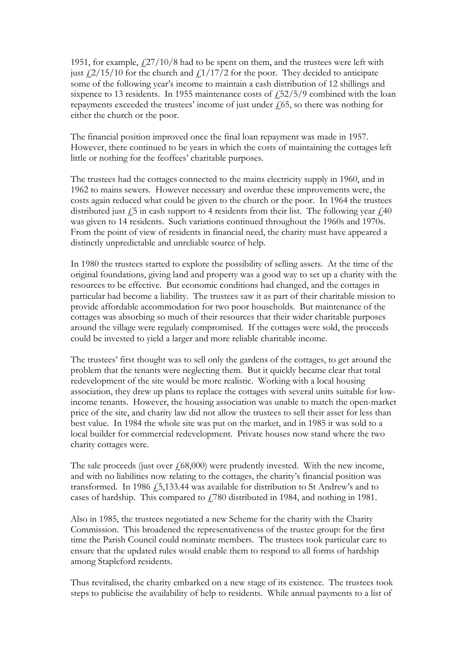1951, for example,  $\frac{27}{10/8}$  had to be spent on them, and the trustees were left with just  $\frac{2}{15/10}$  for the church and  $\frac{1}{17/2}$  for the poor. They decided to anticipate some of the following year's income to maintain a cash distribution of 12 shillings and sixpence to 13 residents. In 1955 maintenance costs of  $\frac{152}{5}/9$  combined with the loan repayments exceeded the trustees' income of just under  $f(65)$ , so there was nothing for either the church or the poor.

The financial position improved once the final loan repayment was made in 1957. However, there continued to be years in which the costs of maintaining the cottages left little or nothing for the feoffees' charitable purposes.

The trustees had the cottages connected to the mains electricity supply in 1960, and in 1962 to mains sewers. However necessary and overdue these improvements were, the costs again reduced what could be given to the church or the poor. In 1964 the trustees distributed just  $\dot{\ell}$ ,  $\dot{\ell}$  in cash support to 4 residents from their list. The following year  $\dot{\ell}$ ,  $40$ was given to 14 residents. Such variations continued throughout the 1960s and 1970s. From the point of view of residents in financial need, the charity must have appeared a distinctly unpredictable and unreliable source of help.

In 1980 the trustees started to explore the possibility of selling assets. At the time of the original foundations, giving land and property was a good way to set up a charity with the resources to be effective. But economic conditions had changed, and the cottages in particular had become a liability. The trustees saw it as part of their charitable mission to provide affordable accommodation for two poor households. But maintenance of the cottages was absorbing so much of their resources that their wider charitable purposes around the village were regularly compromised. If the cottages were sold, the proceeds could be invested to yield a larger and more reliable charitable income.

The trustees' first thought was to sell only the gardens of the cottages, to get around the problem that the tenants were neglecting them. But it quickly became clear that total redevelopment of the site would be more realistic. Working with a local housing association, they drew up plans to replace the cottages with several units suitable for lowincome tenants. However, the housing association was unable to match the open-market price of the site, and charity law did not allow the trustees to sell their asset for less than best value. In 1984 the whole site was put on the market, and in 1985 it was sold to a local builder for commercial redevelopment. Private houses now stand where the two charity cottages were.

The sale proceeds (just over  $f(68,000)$  were prudently invested. With the new income, and with no liabilities now relating to the cottages, the charity's financial position was transformed. In 1986 £5,133.44 was available for distribution to St Andrew's and to cases of hardship. This compared to £780 distributed in 1984, and nothing in 1981.

Also in 1985, the trustees negotiated a new Scheme for the charity with the Charity Commission. This broadened the representativeness of the trustee group: for the first time the Parish Council could nominate members. The trustees took particular care to ensure that the updated rules would enable them to respond to all forms of hardship among Stapleford residents.

Thus revitalised, the charity embarked on a new stage of its existence. The trustees took steps to publicise the availability of help to residents. While annual payments to a list of